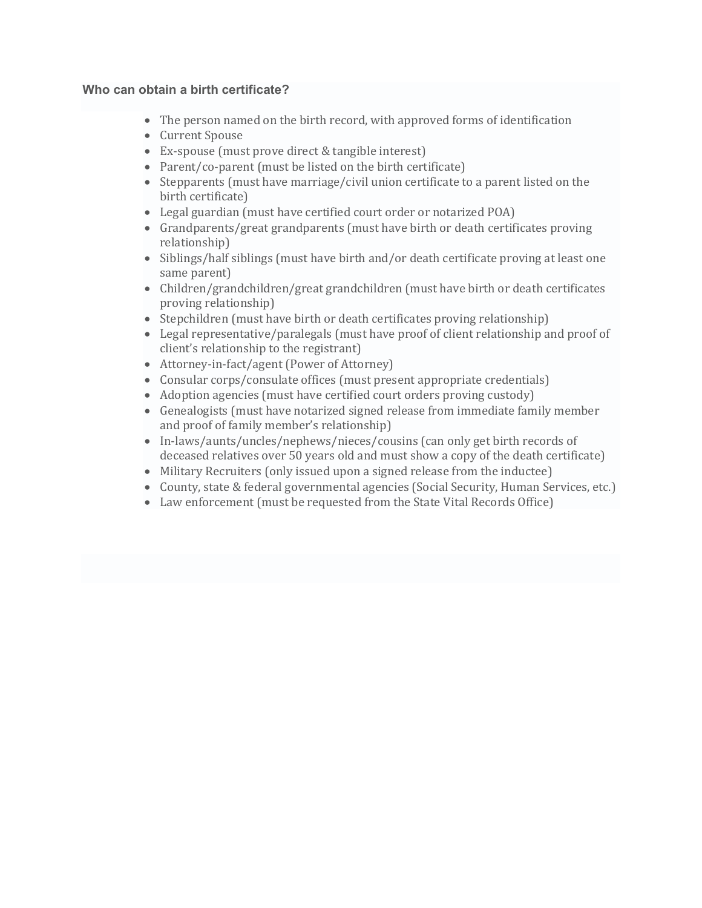## **Who can obtain a birth certificate?**

- The person named on the birth record, with approved forms of identification
- Current Spouse
- Ex-spouse (must prove direct & tangible interest)
- Parent/co-parent (must be listed on the birth certificate)
- Stepparents (must have marriage/civil union certificate to a parent listed on the birth certificate)
- Legal guardian (must have certified court order or notarized POA)
- Grandparents/great grandparents (must have birth or death certificates proving relationship)
- Siblings/half siblings (must have birth and/or death certificate proving at least one same parent)
- Children/grandchildren/great grandchildren (must have birth or death certificates proving relationship)
- Stepchildren (must have birth or death certificates proving relationship)
- Legal representative/paralegals (must have proof of client relationship and proof of client's relationship to the registrant)
- Attorney-in-fact/agent (Power of Attorney)
- Consular corps/consulate offices (must present appropriate credentials)
- Adoption agencies (must have certified court orders proving custody)
- Genealogists (must have notarized signed release from immediate family member and proof of family member's relationship)
- In-laws/aunts/uncles/nephews/nieces/cousins (can only get birth records of deceased relatives over 50 years old and must show a copy of the death certificate)
- Military Recruiters (only issued upon a signed release from the inductee)
- County, state & federal governmental agencies (Social Security, Human Services, etc.)
- Law enforcement (must be requested from the State Vital Records Office)